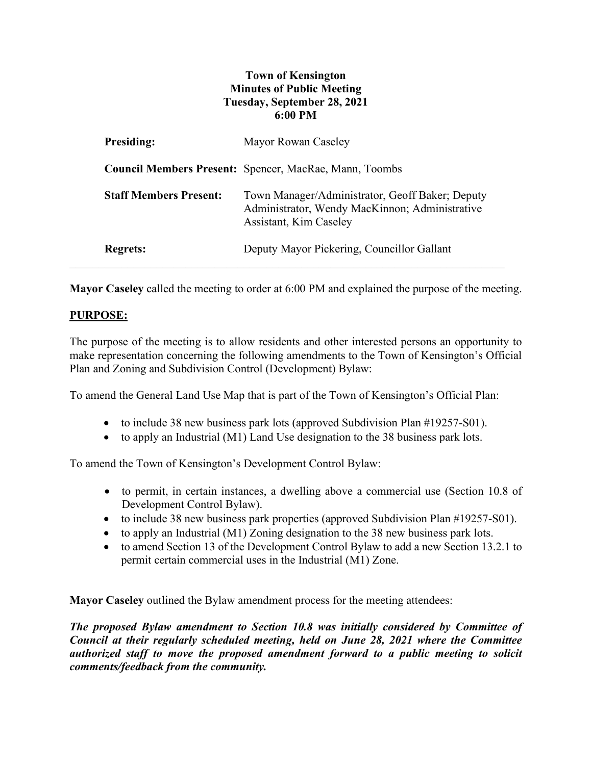## **Town of Kensington Minutes of Public Meeting Tuesday, September 28, 2021 6:00 PM**

| <b>Presiding:</b>             | Mayor Rowan Caseley                                                                                                         |
|-------------------------------|-----------------------------------------------------------------------------------------------------------------------------|
|                               | <b>Council Members Present:</b> Spencer, MacRae, Mann, Toombs                                                               |
| <b>Staff Members Present:</b> | Town Manager/Administrator, Geoff Baker; Deputy<br>Administrator, Wendy MacKinnon; Administrative<br>Assistant, Kim Caseley |
| <b>Regrets:</b>               | Deputy Mayor Pickering, Councillor Gallant                                                                                  |

**Mayor Caseley** called the meeting to order at 6:00 PM and explained the purpose of the meeting.

## **PURPOSE:**

The purpose of the meeting is to allow residents and other interested persons an opportunity to make representation concerning the following amendments to the Town of Kensington's Official Plan and Zoning and Subdivision Control (Development) Bylaw:

To amend the General Land Use Map that is part of the Town of Kensington's Official Plan:

- to include 38 new business park lots (approved Subdivision Plan #19257-S01).
- to apply an Industrial (M1) Land Use designation to the 38 business park lots.

To amend the Town of Kensington's Development Control Bylaw:

- to permit, in certain instances, a dwelling above a commercial use (Section 10.8 of Development Control Bylaw).
- to include 38 new business park properties (approved Subdivision Plan #19257-S01).
- to apply an Industrial (M1) Zoning designation to the 38 new business park lots.
- to amend Section 13 of the Development Control Bylaw to add a new Section 13.2.1 to permit certain commercial uses in the Industrial (M1) Zone.

**Mayor Caseley** outlined the Bylaw amendment process for the meeting attendees:

*The proposed Bylaw amendment to Section 10.8 was initially considered by Committee of Council at their regularly scheduled meeting, held on June 28, 2021 where the Committee authorized staff to move the proposed amendment forward to a public meeting to solicit comments/feedback from the community.*